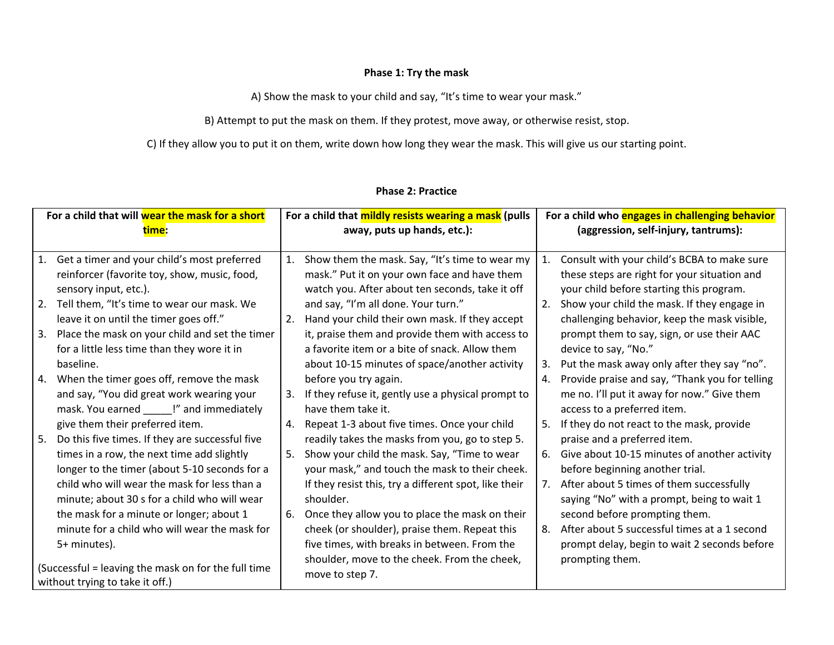## **Phase 1: Try the mask**

A) Show the mask to your child and say, "It's time to wear your mask."

B) Attempt to put the mask on them. If they protest, move away, or otherwise resist, stop.

C) If they allow you to put it on them, write down how long they wear the mask. This will give us our starting point.

| For a child that will wear the mask for a short |                                                                                                                  | For a child that mildly resists wearing a mask (pulls |                                                                                                                                                 | For a child who engages in challenging behavior |                                                                                                                                         |
|-------------------------------------------------|------------------------------------------------------------------------------------------------------------------|-------------------------------------------------------|-------------------------------------------------------------------------------------------------------------------------------------------------|-------------------------------------------------|-----------------------------------------------------------------------------------------------------------------------------------------|
|                                                 | time:                                                                                                            |                                                       | away, puts up hands, etc.):                                                                                                                     |                                                 | (aggression, self-injury, tantrums):                                                                                                    |
|                                                 | 1. Get a timer and your child's most preferred<br>reinforcer (favorite toy, show, music, food,                   | 1.                                                    | Show them the mask. Say, "It's time to wear my<br>mask." Put it on your own face and have them                                                  | 1.                                              | Consult with your child's BCBA to make sure<br>these steps are right for your situation and                                             |
|                                                 | sensory input, etc.).<br>2. Tell them, "It's time to wear our mask. We<br>leave it on until the timer goes off." | 2.                                                    | watch you. After about ten seconds, take it off<br>and say, "I'm all done. Your turn."<br>Hand your child their own mask. If they accept        | 2.                                              | your child before starting this program.<br>Show your child the mask. If they engage in<br>challenging behavior, keep the mask visible, |
|                                                 | 3. Place the mask on your child and set the timer<br>for a little less time than they wore it in                 |                                                       | it, praise them and provide them with access to<br>a favorite item or a bite of snack. Allow them                                               |                                                 | prompt them to say, sign, or use their AAC<br>device to say, "No."                                                                      |
|                                                 | baseline.<br>4. When the timer goes off, remove the mask                                                         |                                                       | about 10-15 minutes of space/another activity<br>before you try again.                                                                          | 3.<br>4.                                        | Put the mask away only after they say "no".<br>Provide praise and say, "Thank you for telling                                           |
|                                                 | and say, "You did great work wearing your<br>mask. You earned _____!" and immediately                            | 3.                                                    | If they refuse it, gently use a physical prompt to<br>have them take it.                                                                        |                                                 | me no. I'll put it away for now." Give them<br>access to a preferred item.                                                              |
|                                                 | give them their preferred item.<br>5. Do this five times. If they are successful five                            | 4.                                                    | Repeat 1-3 about five times. Once your child<br>readily takes the masks from you, go to step 5.                                                 | 5.                                              | If they do not react to the mask, provide<br>praise and a preferred item.                                                               |
|                                                 | times in a row, the next time add slightly<br>longer to the timer (about 5-10 seconds for a                      | 5.                                                    | Show your child the mask. Say, "Time to wear<br>your mask," and touch the mask to their cheek.                                                  | 6.                                              | Give about 10-15 minutes of another activity<br>before beginning another trial.                                                         |
|                                                 | child who will wear the mask for less than a<br>minute; about 30 s for a child who will wear                     |                                                       | If they resist this, try a different spot, like their<br>shoulder.                                                                              | 7.                                              | After about 5 times of them successfully<br>saying "No" with a prompt, being to wait 1                                                  |
|                                                 | the mask for a minute or longer; about 1<br>minute for a child who will wear the mask for<br>5+ minutes).        | 6.                                                    | Once they allow you to place the mask on their<br>cheek (or shoulder), praise them. Repeat this<br>five times, with breaks in between. From the | 8.                                              | second before prompting them.<br>After about 5 successful times at a 1 second<br>prompt delay, begin to wait 2 seconds before           |
|                                                 | (Successful = leaving the mask on for the full time<br>without trying to take it off.)                           |                                                       | shoulder, move to the cheek. From the cheek,<br>move to step 7.                                                                                 |                                                 | prompting them.                                                                                                                         |

## **Phase 2: Practice**